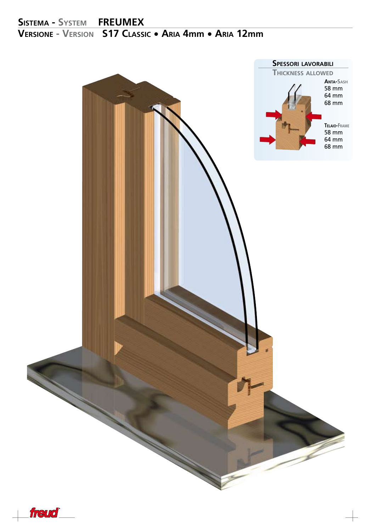

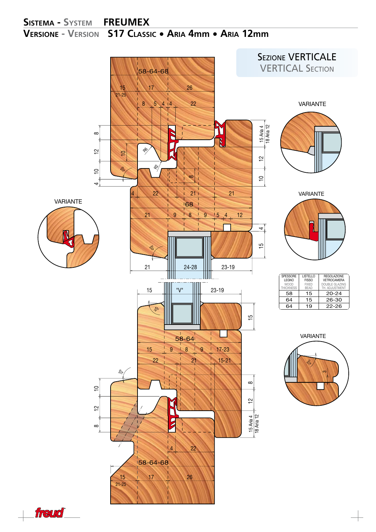

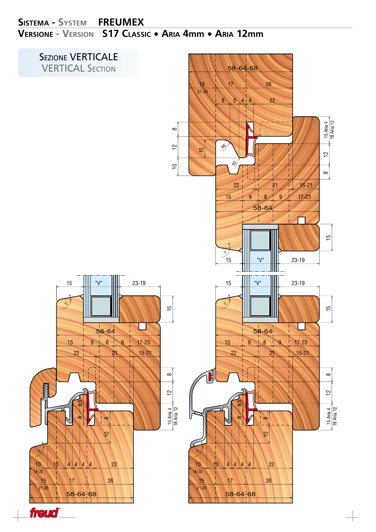

freud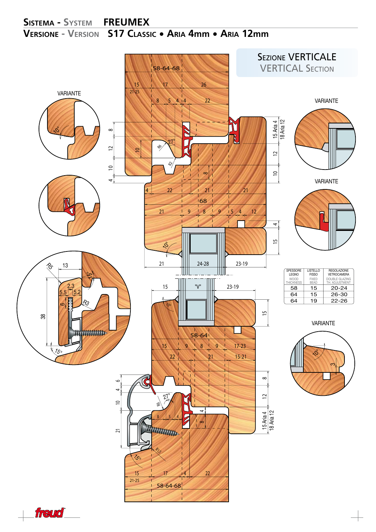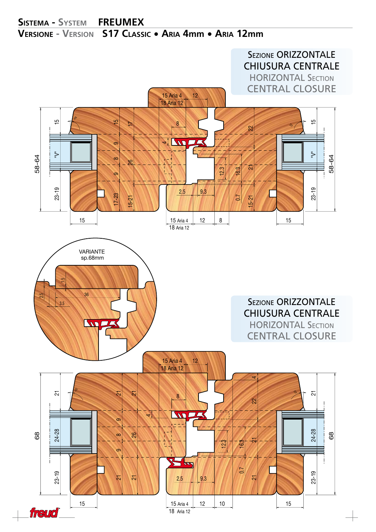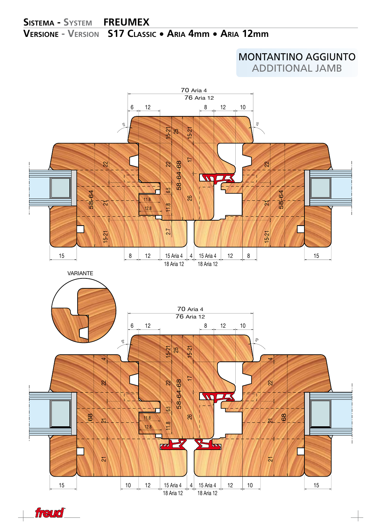MONTANTINO AGGIUNTO additional jamb



freud